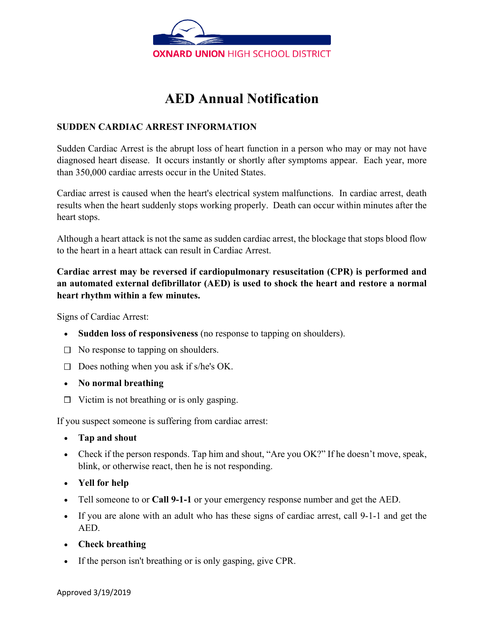

## **AED Annual Notification**

#### **SUDDEN CARDIAC ARREST INFORMATION**

Sudden Cardiac Arrest is the abrupt loss of heart function in a person who may or may not have diagnosed heart disease. It occurs instantly or shortly after symptoms appear. Each year, more than 350,000 cardiac arrests occur in the United States.

Cardiac arrest is caused when the heart's electrical system malfunctions. In cardiac arrest, death results when the heart suddenly stops working properly. Death can occur within minutes after the heart stops.

Although a heart attack is not the same as sudden cardiac arrest, the blockage that stops blood flow to the heart in a heart attack can result in Cardiac Arrest.

#### **Cardiac arrest may be reversed if cardiopulmonary resuscitation (CPR) is performed and an automated external defibrillator (AED) is used to shock the heart and restore a normal heart rhythm within a few minutes.**

Signs of Cardiac Arrest:

- **Sudden loss of responsiveness** (no response to tapping on shoulders).
- $\Box$  No response to tapping on shoulders.
- $\square$  Does nothing when you ask if s/he's OK.
- **No normal breathing**
- $\Box$  Victim is not breathing or is only gasping.

If you suspect someone is suffering from cardiac arrest:

- **Tap and shout**
- Check if the person responds. Tap him and shout, "Are you OK?" If he doesn't move, speak, blink, or otherwise react, then he is not responding.
- **Yell for help**
- Tell someone to or **Call 9-1-1** or your emergency response number and get the AED.
- If you are alone with an adult who has these signs of cardiac arrest, call 9-1-1 and get the AED.
- **Check breathing**
- If the person isn't breathing or is only gasping, give CPR.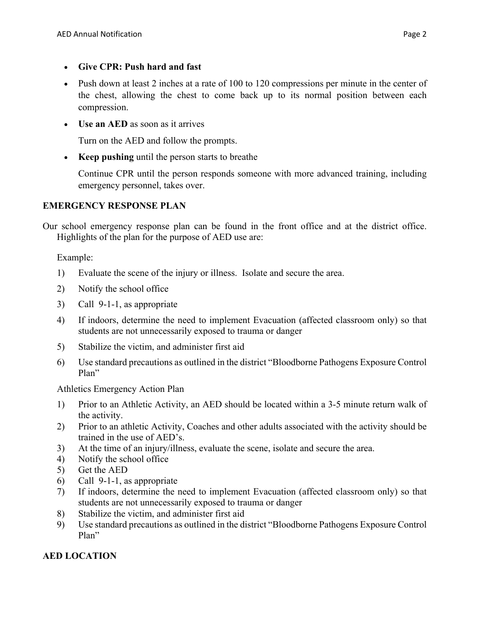- **Give CPR: Push hard and fast**
- Push down at least 2 inches at a rate of 100 to 120 compressions per minute in the center of the chest, allowing the chest to come back up to its normal position between each compression.
- **Use an AED** as soon as it arrives

Turn on the AED and follow the prompts.

• **Keep pushing** until the person starts to breathe

Continue CPR until the person responds someone with more advanced training, including emergency personnel, takes over.

#### **EMERGENCY RESPONSE PLAN**

Our school emergency response plan can be found in the front office and at the district office. Highlights of the plan for the purpose of AED use are:

Example:

- 1) Evaluate the scene of the injury or illness. Isolate and secure the area.
- 2) Notify the school office
- 3) Call 9-1-1, as appropriate
- 4) If indoors, determine the need to implement Evacuation (affected classroom only) so that students are not unnecessarily exposed to trauma or danger
- 5) Stabilize the victim, and administer first aid
- 6) Use standard precautions as outlined in the district "Bloodborne Pathogens Exposure Control Plan"

Athletics Emergency Action Plan

- 1) Prior to an Athletic Activity, an AED should be located within a 3-5 minute return walk of the activity.
- 2) Prior to an athletic Activity, Coaches and other adults associated with the activity should be trained in the use of AED's.
- 3) At the time of an injury/illness, evaluate the scene, isolate and secure the area.
- 4) Notify the school office
- 5) Get the AED
- 6) Call 9-1-1, as appropriate
- 7) If indoors, determine the need to implement Evacuation (affected classroom only) so that students are not unnecessarily exposed to trauma or danger
- 8) Stabilize the victim, and administer first aid
- 9) Use standard precautions as outlined in the district "Bloodborne Pathogens Exposure Control Plan"

#### **AED LOCATION**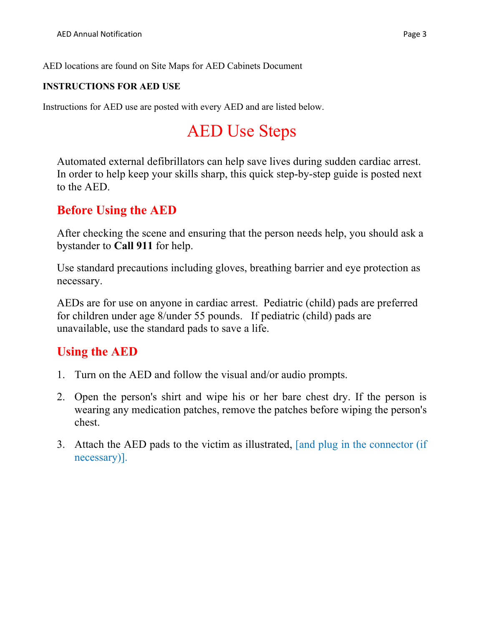AED locations are found on Site Maps for AED Cabinets Document

#### **INSTRUCTIONS FOR AED USE**

Instructions for AED use are posted with every AED and are listed below.

# AED Use Steps

Automated external defibrillators can help save lives during sudden cardiac arrest. In order to help keep your skills sharp, this quick step-by-step guide is posted next to the AED.

### **Before Using the AED**

After checking the scene and ensuring that the person needs help, you should ask a bystander to **Call 911** for help.

Use standard precautions including gloves, breathing barrier and eye protection as necessary.

AEDs are for use on anyone in cardiac arrest. Pediatric (child) pads are preferred for children under age 8/under 55 pounds. If pediatric (child) pads are unavailable, use the standard pads to save a life.

## **Using the AED**

- 1. Turn on the AED and follow the visual and/or audio prompts.
- 2. Open the person's shirt and wipe his or her bare chest dry. If the person is wearing any medication patches, remove the patches before wiping the person's chest.
- 3. Attach the AED pads to the victim as illustrated, [and plug in the connector (if necessary)].